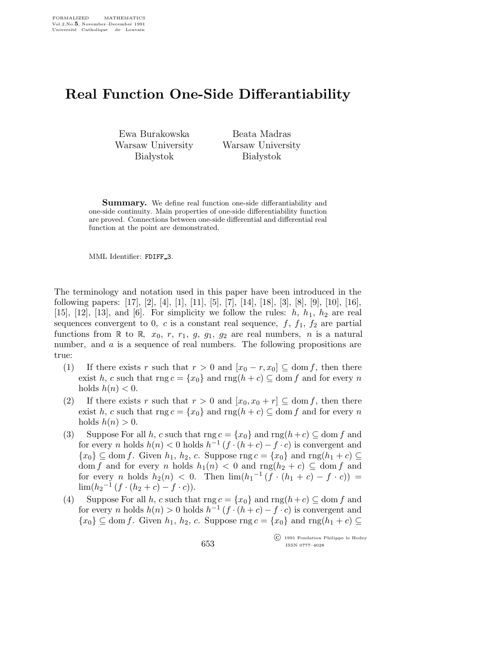## Real Function One-Side Differantiability

Ewa Burakowska Warsaw University **Białystok** 

Beata Madras Warsaw University **Białystok** 

Summary. We define real function one-side differantiability and one-side continuity. Main properties of one-side differentiability function are proved. Connections between one-side differential and differential real function at the point are demonstrated.

MML Identifier: FDIFF 3.

The terminology and notation used in this paper have been introduced in the following papers: [17], [2], [4], [1], [11], [5], [7], [14], [18], [3], [8], [9], [10], [16], [15], [12], [13], and [6]. For simplicity we follow the rules:  $h, h_1, h_2$  are real sequences convergent to 0, c is a constant real sequence,  $f, f_1, f_2$  are partial functions from R to R,  $x_0, r, r_1, g, g_1, g_2$  are real numbers, n is a natural number, and a is a sequence of real numbers. The following propositions are true:

- (1) If there exists r such that  $r > 0$  and  $[x_0 r, x_0] \subseteq \text{dom } f$ , then there exist h, c such that  $\text{rng } c = \{x_0\}$  and  $\text{rng}(h + c) \subseteq \text{dom } f$  and for every n holds  $h(n) < 0$ .
- (2) If there exists r such that  $r > 0$  and  $[x_0, x_0 + r] \subseteq$  dom f, then there exist h, c such that  $\text{rng } c = \{x_0\}$  and  $\text{rng}(h + c) \subseteq \text{dom } f$  and for every n holds  $h(n) > 0$ .
- (3) Suppose For all h, c such that  $\text{rng } c = \{x_0\}$  and  $\text{rng}(h+c) \subseteq \text{dom } f$  and for every n holds  $h(n) < 0$  holds  $h^{-1}(f \cdot (h+c) - f \cdot c)$  is convergent and  $\{x_0\} \subseteq$  dom f. Given  $h_1, h_2, c$ . Suppose rng  $c = \{x_0\}$  and rng $(h_1 + c) \subseteq$ dom f and for every n holds  $h_1(n) < 0$  and  $\text{rng}(h_2 + c) \subseteq \text{dom } f$  and for every *n* holds  $h_2(n) < 0$ . Then  $\lim_h (h_1^{-1}(\overrightarrow{f} \cdot (h_1 + c) - f \cdot c)) =$  $\lim_{h_2^{-1}(f \cdot (h_2 + c) - f \cdot c)).$
- (4) Suppose For all h, c such that  $\text{rng } c = \{x_0\}$  and  $\text{rng}(h+c) \subseteq \text{dom } f$  and for every n holds  $h(n) > 0$  holds  $h^{-1}(f \cdot (h+c) - f \cdot c)$  is convergent and  $\{x_0\} \subseteq$  dom f. Given  $h_1, h_2, c$ . Suppose rng  $c = \{x_0\}$  and rng $(h_1 + c) \subseteq$

 c 1991 Fondation Philippe le Hodey ISSN 0777–4028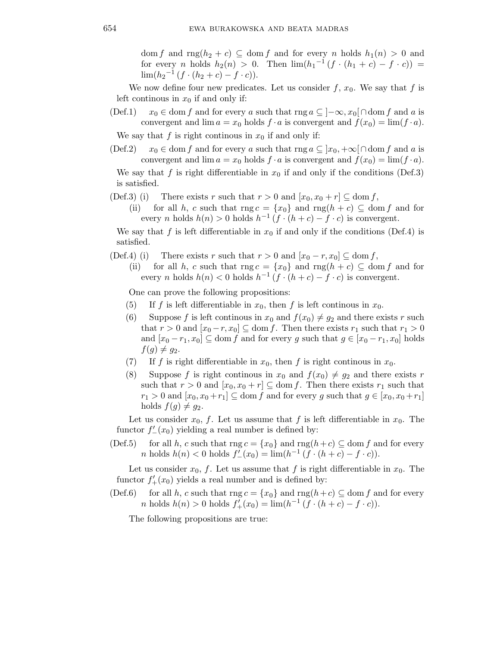dom f and rng $(h_2 + c) \subseteq$  dom f and for every n holds  $h_1(n) > 0$  and for every *n* holds  $h_2(n) > 0$ . Then  $\lim_h(h_1^{-1}(f \cdot (h_1 + c) - f \cdot c)) =$  $\lim_{h_2^{-1}(f \cdot (h_2 + c) - f \cdot c).$ 

We now define four new predicates. Let us consider  $f, x_0$ . We say that f is left continous in  $x_0$  if and only if:

(Def.1)  $x_0 \in \text{dom } f$  and for every a such that rng  $a \subseteq [-\infty, x_0] \cap \text{dom } f$  and a is convergent and  $\lim a = x_0$  holds  $f \cdot a$  is convergent and  $f(x_0) = \lim (f \cdot a)$ .

We say that f is right continuos in  $x_0$  if and only if:

(Def.2)  $x_0 \in \text{dom } f$  and for every a such that  $\text{rng } a \subseteq |x_0, +\infty| \cap \text{dom } f$  and a is convergent and  $\lim a = x_0$  holds  $f \cdot a$  is convergent and  $f(x_0) = \lim (f \cdot a)$ .

We say that f is right differentiable in  $x_0$  if and only if the conditions (Def.3) is satisfied.

- (Def.3) (i) There exists r such that  $r > 0$  and  $[x_0, x_0 + r] \subseteq \text{dom } f$ ,
	- (ii) for all h, c such that  $\text{rng } c = \{x_0\}$  and  $\text{rng}(h + c) \subseteq \text{dom } f$  and for every *n* holds  $h(n) > 0$  holds  $h^{-1}(f \cdot (h+c) - f \cdot c)$  is convergent.

We say that f is left differentiable in  $x_0$  if and only if the conditions (Def.4) is satisfied.

- (Def.4) (i) There exists r such that  $r > 0$  and  $[x_0 r, x_0] \subseteq \text{dom } f$ ,
	- (ii) for all h, c such that  $\text{rng } c = \{x_0\}$  and  $\text{rng}(h + c) \subseteq \text{dom } f$  and for every *n* holds  $h(n) < 0$  holds  $h^{-1}(f \cdot (h+c) - f \cdot c)$  is convergent.

One can prove the following propositions:

- (5) If f is left differentiable in  $x_0$ , then f is left continuos in  $x_0$ .
- (6) Suppose f is left continuos in  $x_0$  and  $f(x_0) \neq g_2$  and there exists r such that  $r > 0$  and  $[x_0 - r, x_0] \subseteq$  dom f. Then there exists  $r_1$  such that  $r_1 > 0$ and  $[x_0 - r_1, x_0] \subseteq$  dom f and for every g such that  $g \in [x_0 - r_1, x_0]$  holds  $f(g) \neq g_2$ .
- (7) If f is right differentiable in  $x_0$ , then f is right continuos in  $x_0$ .
- (8) Suppose f is right continuous in  $x_0$  and  $f(x_0) \neq g_2$  and there exists r such that  $r > 0$  and  $[x_0, x_0 + r] \subseteq \text{dom } f$ . Then there exists  $r_1$  such that  $r_1 > 0$  and  $[x_0, x_0 + r_1] \subseteq \text{dom } f$  and for every g such that  $g \in [x_0, x_0 + r_1]$ holds  $f(g) \neq g_2$ .

Let us consider  $x_0$ , f. Let us assume that f is left differentiable in  $x_0$ . The functor  $f'_{-}(x_0)$  yielding a real number is defined by:

(Def.5) for all h, c such that  $\text{rng } c = \{x_0\}$  and  $\text{rng}(h+c) \subseteq \text{dom } f$  and for every *n* holds  $h(n) < 0$  holds  $f'_{-}(x_0) = \lim_h (h^{-1} (f \cdot (h + c) - f \cdot c)).$ 

Let us consider  $x_0$ , f. Let us assume that f is right differentiable in  $x_0$ . The functor  $f'_{+}(x_0)$  yields a real number and is defined by:

(Def.6) for all h, c such that rng  $c = \{x_0\}$  and rng $(h+c) \subseteq$  dom f and for every *n* holds  $h(n) > 0$  holds  $f'_{+}(x_0) = \lim(h^{-1}(f \cdot (h + c) - f \cdot c)).$ 

The following propositions are true: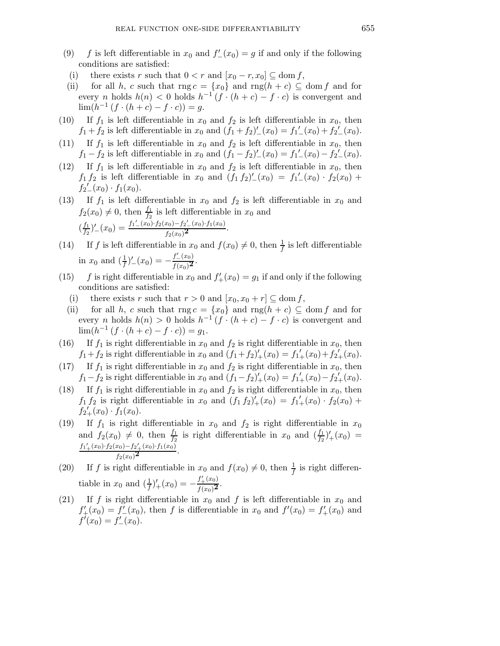- (9) f is left differentiable in  $x_0$  and  $f'_{-}(x_0) = g$  if and only if the following conditions are satisfied:
- (i) there exists r such that  $0 < r$  and  $[x_0 r, x_0] \subseteq \text{dom } f$ ,
- (ii) for all h, c such that  $\text{rng } c = \{x_0\}$  and  $\text{rng}(h + c) \subseteq \text{dom } f$  and for every *n* holds  $h(n) < 0$  holds  $h^{-1}(f \cdot (h+c) - f \cdot c)$  is convergent and  $\lim_{h \to 0} (h^{-1}(f \cdot (h + c) - f \cdot c)) = g.$
- (10) If  $f_1$  is left differentiable in  $x_0$  and  $f_2$  is left differentiable in  $x_0$ , then  $f_1 + f_2$  is left differentiable in  $x_0$  and  $(f_1 + f_2)'_-(x_0) = f_1'_-(x_0) + f_2'_-(x_0)$ .
- (11) If  $f_1$  is left differentiable in  $x_0$  and  $f_2$  is left differentiable in  $x_0$ , then  $f_1 - f_2$  is left differentiable in  $x_0$  and  $(f_1 - f_2)'_-(x_0) = f_1'_-(x_0) - f_2'_-(x_0)$ .
- (12) If  $f_1$  is left differentiable in  $x_0$  and  $f_2$  is left differentiable in  $x_0$ , then  $f_1 f_2$  is left differentiable in  $x_0$  and  $(f_1 f_2)'_-(x_0) = f_1'_{-}(x_0) \cdot f_2(x_0) +$  $f_2{}'_-(x_0) \cdot f_1(x_0).$
- (13) If  $f_1$  is left differentiable in  $x_0$  and  $f_2$  is left differentiable in  $x_0$  and  $f_2(x_0) \neq 0$ , then  $\frac{f_1}{f_2}$  is left differentiable in  $x_0$  and  $\left(\frac{f_1}{f_2}\right)$  $\frac{f_1}{f_2}$ <sup>'</sup> $\int_{-}^{} (x_0) \frac{f_1(x_0) \cdot f_2(x_0) - f_2(x_0) \cdot f_1(x_0)}{f_2(x_0)^2}$ <sup>f</sup>2(x0)<sup>2</sup> .
- (14) If f is left differentiable in  $x_0$  and  $f(x_0) \neq 0$ , then  $\frac{1}{f}$  is left differentiable in  $x_0$  and  $\left(\frac{1}{f}\right)'_{-}(x_0) = -\frac{f'_{-}(x_0)}{f(x_0)^2}$ .
- (15) f is right differentiable in  $x_0$  and  $f'_{+}(x_0) = g_1$  if and only if the following conditions are satisfied:
	- (i) there exists r such that  $r > 0$  and  $[x_0, x_0 + r] \subseteq \text{dom } f$ ,
	- (ii) for all h, c such that rng  $c = \{x_0\}$  and rng $(h + c) \subseteq$  dom f and for every *n* holds  $h(n) > 0$  holds  $h^{-1}(f \cdot (h+c) - f \cdot c)$  is convergent and  $\lim_{h \to 0} (h^{-1}(f \cdot (h + c) - f \cdot c)) = g_1.$
- (16) If  $f_1$  is right differentiable in  $x_0$  and  $f_2$  is right differentiable in  $x_0$ , then  $f_1 + f_2$  is right differentiable in  $x_0$  and  $(f_1 + f_2)'_+(x_0) = f_1'_+(x_0) + f_2'_+(x_0)$ .
- (17) If  $f_1$  is right differentiable in  $x_0$  and  $f_2$  is right differentiable in  $x_0$ , then  $f_1 - f_2$  is right differentiable in  $x_0$  and  $(f_1 - f_2)'_+(x_0) = f_1'_+(x_0) - f_2'_+(x_0)$ .
- (18) If  $f_1$  is right differentiable in  $x_0$  and  $f_2$  is right differentiable in  $x_0$ , then  $f_1 f_2$  is right differentiable in  $x_0$  and  $(f_1 f_2)'_+(x_0) = f_1'_{+}(x_0) \cdot f_2(x_0) +$  $f_{2+}^{f_1, g_2}(x_0) \cdot f_1(x_0).$
- (19) If  $f_1$  is right differentiable in  $x_0$  and  $f_2$  is right differentiable in  $x_0$ and  $f_2(x_0) \neq 0$ , then  $\frac{f_1}{f_2}$  is right differentiable in  $x_0$  and  $(\frac{f_1}{f_2})'_{+}(x_0)$  =  $f'_1(x_0) \cdot f_2(x_0) - f'_2(x_0) \cdot f_1(x_0)$  $\frac{x_0-2x_+(x_0)+1(x_0)}{f_2(x_0)^2}$ .
- (20) If f is right differentiable in  $x_0$  and  $f(x_0) \neq 0$ , then  $\frac{1}{f}$  is right differentiable in  $x_0$  and  $\left(\frac{1}{f}\right)'_+(x_0) = -\frac{f'_+(x_0)}{f(x_0)^2}$ .
- (21) If f is right differentiable in  $x_0$  and f is left differentiable in  $x_0$  and  $f'_{+}(x_0) = f'_{-}(x_0)$ , then f is differentiable in  $x_0$  and  $f'(x_0) = f'_{+}(x_0)$  and  $f'(x_0) = f'_{-}(x_0).$